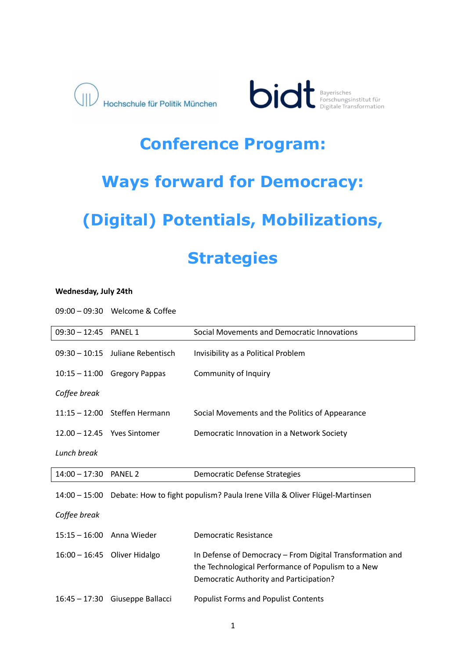



# **Conference Program:**

# **Ways forward for Democracy:**

# **(Digital) Potentials, Mobilizations,**

## **Strategies**

#### **Wednesday, July 24th**

09:00 – 09:30 Welcome & Coffee

| 09:30 - 12:45 PANEL 1     |                                  | Social Movements and Democratic Innovations                                                   |
|---------------------------|----------------------------------|-----------------------------------------------------------------------------------------------|
|                           | 09:30 - 10:15 Juliane Rebentisch | Invisibility as a Political Problem                                                           |
|                           | $10:15 - 11:00$ Gregory Pappas   | Community of Inquiry                                                                          |
| Coffee break              |                                  |                                                                                               |
|                           | 11:15 - 12:00 Steffen Hermann    | Social Movements and the Politics of Appearance                                               |
| $12.00 - 12.45$           | Yves Sintomer                    | Democratic Innovation in a Network Society                                                    |
| Lunch break               |                                  |                                                                                               |
| $14:00 - 17:30$           | PANEL <sub>2</sub>               | <b>Democratic Defense Strategies</b>                                                          |
|                           |                                  | 14:00 - 15:00 Debate: How to fight populism? Paula Irene Villa & Oliver Flügel-Martinsen      |
| Coffee break              |                                  |                                                                                               |
| 15:15 - 16:00 Anna Wieder |                                  | Democratic Resistance                                                                         |
|                           | 16:00 - 16:45 Oliver Hidalgo     | In Defense of Democracy - From Digital Transformation and                                     |
|                           |                                  | the Technological Performance of Populism to a New<br>Democratic Authority and Participation? |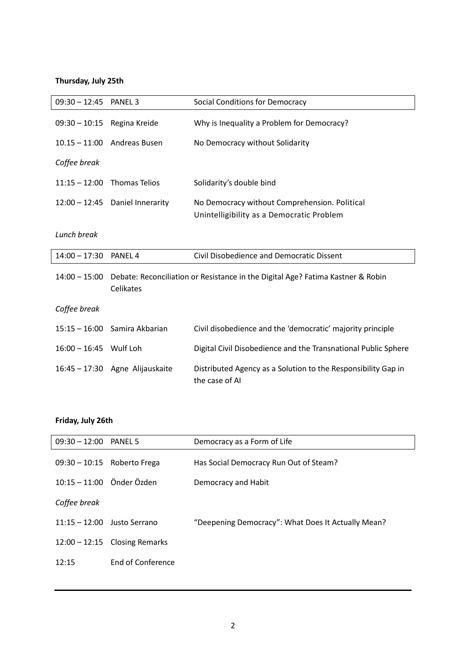## **Thursday, July 25th**

| $09:30 - 12:45$ PANEL 3     |                                                                                              | <b>Social Conditions for Democracy</b>                                                     |
|-----------------------------|----------------------------------------------------------------------------------------------|--------------------------------------------------------------------------------------------|
| 09:30 - 10:15 Regina Kreide |                                                                                              | Why is Inequality a Problem for Democracy?                                                 |
|                             | 10.15 - 11:00 Andreas Busen                                                                  | No Democracy without Solidarity                                                            |
| Coffee break                |                                                                                              |                                                                                            |
|                             | $11:15 - 12:00$ Thomas Telios                                                                | Solidarity's double bind                                                                   |
|                             | 12:00 - 12:45 Daniel Innerarity                                                              | No Democracy without Comprehension. Political<br>Unintelligibility as a Democratic Problem |
| Lunch break                 |                                                                                              |                                                                                            |
| $14:00 - 17:30$             | PANEL <sub>4</sub>                                                                           | Civil Disobedience and Democratic Dissent                                                  |
| $14:00 - 15:00$             | Debate: Reconciliation or Resistance in the Digital Age? Fatima Kastner & Robin<br>Celikates |                                                                                            |
| Coffee break                |                                                                                              |                                                                                            |
|                             | 15:15 - 16:00 Samira Akbarian                                                                | Civil disobedience and the 'democratic' majority principle                                 |
| 16:00 - 16:45 Wulf Loh      |                                                                                              | Digital Civil Disobedience and the Transnational Public Sphere                             |
|                             | 16:45 - 17:30 Agne Alijauskaite                                                              | Distributed Agency as a Solution to the Responsibility Gap in<br>the case of AI            |

## **Friday, July 26th**

| 09:30 - 12:00 PANEL 5         |                                 | Democracy as a Form of Life                        |
|-------------------------------|---------------------------------|----------------------------------------------------|
|                               | $09:30-10:15$ Roberto Frega     | Has Social Democracy Run Out of Steam?             |
| $10:15 - 11:00$ Önder Özden   |                                 | Democracy and Habit                                |
| Coffee break                  |                                 |                                                    |
| $11:15 - 12:00$ Justo Serrano |                                 | "Deepening Democracy": What Does It Actually Mean? |
|                               | $12:00 - 12:15$ Closing Remarks |                                                    |
| 12:15                         | <b>End of Conference</b>        |                                                    |
|                               |                                 |                                                    |